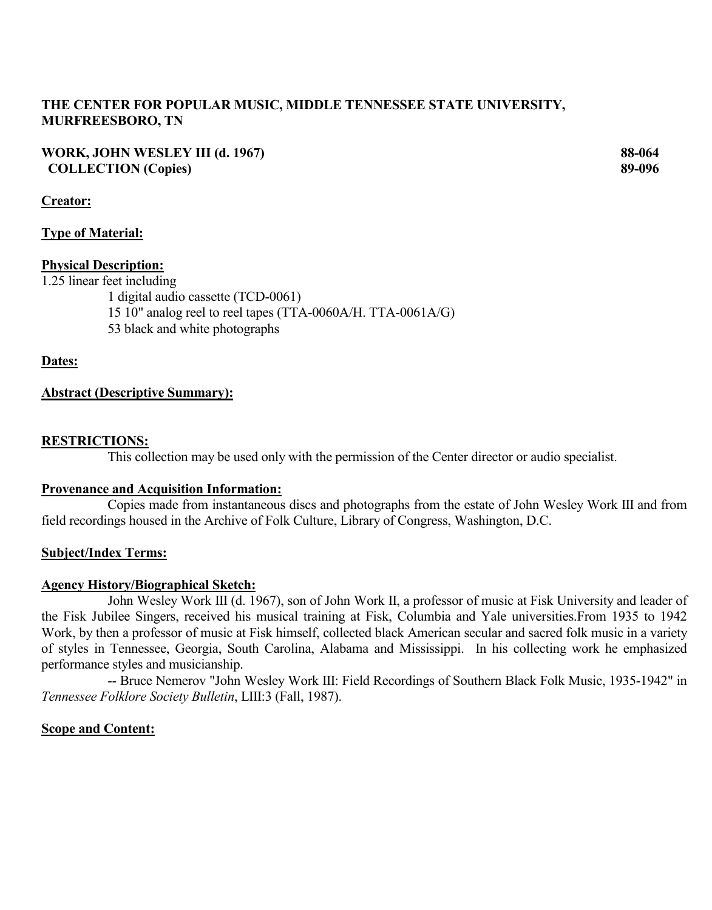# **THE CENTER FOR POPULAR MUSIC, MIDDLE TENNESSEE STATE UNIVERSITY, MURFREESBORO, TN**

**WORK, JOHN WESLEY III (d. 1967) 88-064 COLLECTION (Copies) 89-096**

## **Creator:**

## **Type of Material:**

## **Physical Description:**

1.25 linear feet including

1 digital audio cassette (TCD-0061)

- 15 10" analog reel to reel tapes (TTA-0060A/H. TTA-0061A/G)
- 53 black and white photographs

## **Dates:**

## **Abstract (Descriptive Summary):**

## **RESTRICTIONS:**

This collection may be used only with the permission of the Center director or audio specialist.

## **Provenance and Acquisition Information:**

Copies made from instantaneous discs and photographs from the estate of John Wesley Work III and from field recordings housed in the Archive of Folk Culture, Library of Congress, Washington, D.C.

## **Subject/Index Terms:**

## **Agency History/Biographical Sketch:**

John Wesley Work III (d. 1967), son of John Work II, a professor of music at Fisk University and leader of the Fisk Jubilee Singers, received his musical training at Fisk, Columbia and Yale universities.From 1935 to 1942 Work, by then a professor of music at Fisk himself, collected black American secular and sacred folk music in a variety of styles in Tennessee, Georgia, South Carolina, Alabama and Mississippi. In his collecting work he emphasized performance styles and musicianship.

-- Bruce Nemerov "John Wesley Work III: Field Recordings of Southern Black Folk Music, 1935-1942" in *Tennessee Folklore Society Bulletin*, LIII:3 (Fall, 1987).

# **Scope and Content:**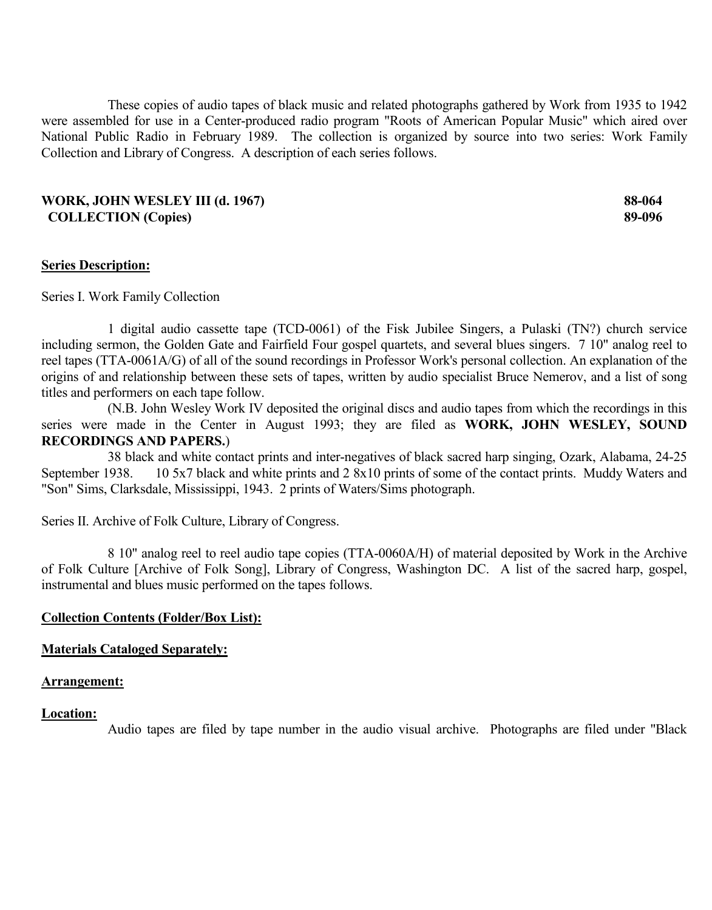These copies of audio tapes of black music and related photographs gathered by Work from 1935 to 1942 were assembled for use in a Center-produced radio program "Roots of American Popular Music" which aired over National Public Radio in February 1989. The collection is organized by source into two series: Work Family Collection and Library of Congress. A description of each series follows.

#### **WORK, JOHN WESLEY III (d. 1967) 88-064 COLLECTION (Copies) 89-096**

#### **Series Description:**

Series I. Work Family Collection

1 digital audio cassette tape (TCD-0061) of the Fisk Jubilee Singers, a Pulaski (TN?) church service including sermon, the Golden Gate and Fairfield Four gospel quartets, and several blues singers. 7 10" analog reel to reel tapes (TTA-0061A/G) of all of the sound recordings in Professor Work's personal collection. An explanation of the origins of and relationship between these sets of tapes, written by audio specialist Bruce Nemerov, and a list of song titles and performers on each tape follow.

(N.B. John Wesley Work IV deposited the original discs and audio tapes from which the recordings in this series were made in the Center in August 1993; they are filed as **WORK, JOHN WESLEY, SOUND RECORDINGS AND PAPERS.**)

38 black and white contact prints and inter-negatives of black sacred harp singing, Ozark, Alabama, 24-25 September 1938. 10 5x7 black and white prints and 2 8x10 prints of some of the contact prints. Muddy Waters and "Son" Sims, Clarksdale, Mississippi, 1943. 2 prints of Waters/Sims photograph.

Series II. Archive of Folk Culture, Library of Congress.

8 10" analog reel to reel audio tape copies (TTA-0060A/H) of material deposited by Work in the Archive of Folk Culture [Archive of Folk Song], Library of Congress, Washington DC. A list of the sacred harp, gospel, instrumental and blues music performed on the tapes follows.

#### **Collection Contents (Folder/Box List):**

#### **Materials Cataloged Separately:**

#### **Arrangement:**

#### **Location:**

Audio tapes are filed by tape number in the audio visual archive. Photographs are filed under "Black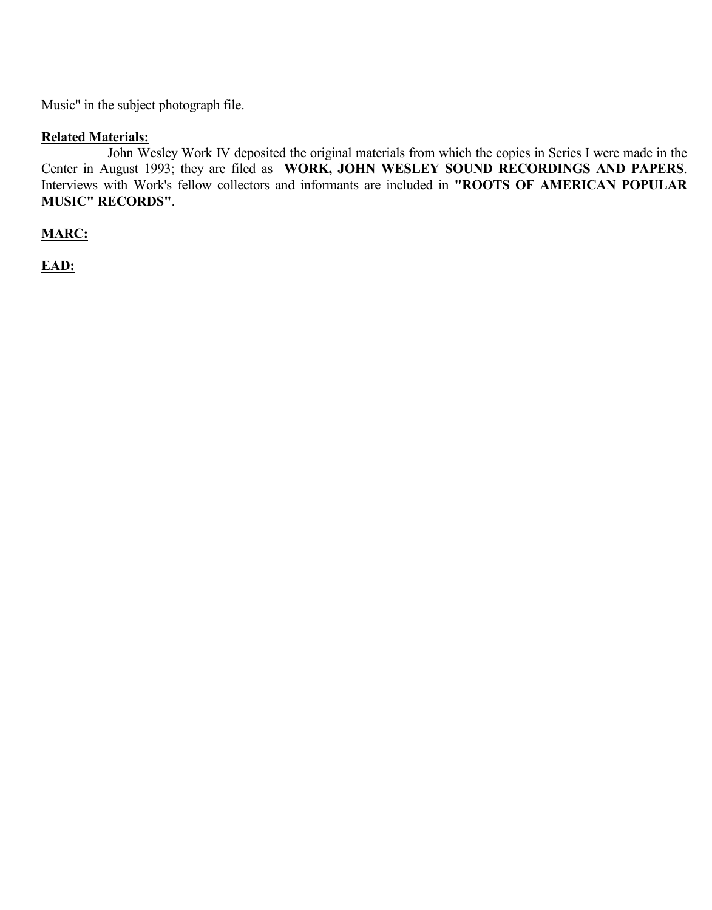Music" in the subject photograph file.

# **Related Materials:**

John Wesley Work IV deposited the original materials from which the copies in Series I were made in the Center in August 1993; they are filed as **WORK, JOHN WESLEY SOUND RECORDINGS AND PAPERS**. Interviews with Work's fellow collectors and informants are included in **"ROOTS OF AMERICAN POPULAR MUSIC" RECORDS"**.

**MARC:**

**EAD:**